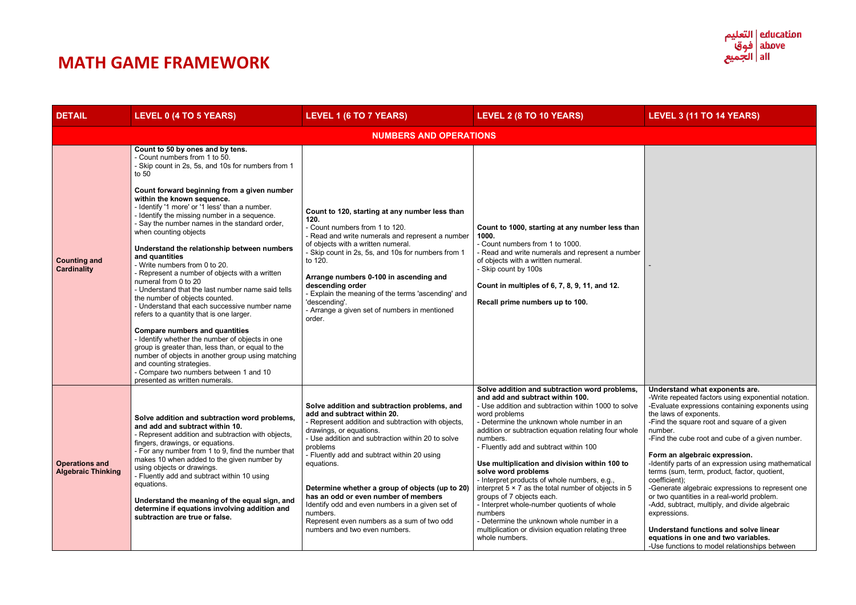# **DETAIL LEVEL 0 (4 TO 5 YEARS) LEVEL 1 (6 TO 7 YEARS) LEVEL 2 (8 TO 10 YEARS) LEVEL 3 (11 TO 14 YEARS)**

| <b>DETAIL</b>                                      | LEVEL 0 (4 TO 5 YEARS)                                                                                                                                                                                                                                                                                                                                                                                                                                                                                                                                                                                                                                                                                                                                                                                                                                                                                                                                                                                                                                                  | LEVEL 1 (6 TO 7 YEARS)                                                                                                                                                                                                                                                                                                                                                                                                                                                                                                              | LEVEL 2 (8 TO 10 YEARS)                                                                                                                                                                                                                                                                                                                                                                                                                                                                                                                                                                                                                                                                                                 |  |
|----------------------------------------------------|-------------------------------------------------------------------------------------------------------------------------------------------------------------------------------------------------------------------------------------------------------------------------------------------------------------------------------------------------------------------------------------------------------------------------------------------------------------------------------------------------------------------------------------------------------------------------------------------------------------------------------------------------------------------------------------------------------------------------------------------------------------------------------------------------------------------------------------------------------------------------------------------------------------------------------------------------------------------------------------------------------------------------------------------------------------------------|-------------------------------------------------------------------------------------------------------------------------------------------------------------------------------------------------------------------------------------------------------------------------------------------------------------------------------------------------------------------------------------------------------------------------------------------------------------------------------------------------------------------------------------|-------------------------------------------------------------------------------------------------------------------------------------------------------------------------------------------------------------------------------------------------------------------------------------------------------------------------------------------------------------------------------------------------------------------------------------------------------------------------------------------------------------------------------------------------------------------------------------------------------------------------------------------------------------------------------------------------------------------------|--|
|                                                    | <b>NUMBERS AND OPERATIONS</b>                                                                                                                                                                                                                                                                                                                                                                                                                                                                                                                                                                                                                                                                                                                                                                                                                                                                                                                                                                                                                                           |                                                                                                                                                                                                                                                                                                                                                                                                                                                                                                                                     |                                                                                                                                                                                                                                                                                                                                                                                                                                                                                                                                                                                                                                                                                                                         |  |
| <b>Counting and</b><br><b>Cardinality</b>          | Count to 50 by ones and by tens.<br>- Count numbers from 1 to 50.<br>- Skip count in 2s, 5s, and 10s for numbers from 1<br>to 50<br>Count forward beginning from a given number<br>within the known sequence.<br>- Identify '1 more' or '1 less' than a number.<br>- Identify the missing number in a sequence.<br>- Say the number names in the standard order,<br>when counting objects<br>Understand the relationship between numbers<br>and quantities<br>- Write numbers from 0 to 20.<br>- Represent a number of objects with a written<br>numeral from 0 to 20<br>- Understand that the last number name said tells<br>the number of objects counted.<br>- Understand that each successive number name<br>refers to a quantity that is one larger.<br><b>Compare numbers and quantities</b><br>- Identify whether the number of objects in one<br>group is greater than, less than, or equal to the<br>number of objects in another group using matching<br>and counting strategies.<br>- Compare two numbers between 1 and 10<br>presented as written numerals. | Count to 120, starting at any number less than<br>120.<br>- Count numbers from 1 to 120.<br>- Read and write numerals and represent a number<br>of objects with a written numeral.<br>- Skip count in 2s, 5s, and 10s for numbers from 1<br>to 120.<br>Arrange numbers 0-100 in ascending and<br>descending order<br>- Explain the meaning of the terms 'ascending' and<br>'descending'.<br>- Arrange a given set of numbers in mentioned<br>order.                                                                                 | Count to 1000, starting at any number less than<br>1000.<br>- Count numbers from 1 to 1000.<br>- Read and write numerals and represent a number<br>of objects with a written numeral.<br>- Skip count by 100s<br>Count in multiples of 6, 7, 8, 9, 11, and 12.<br>Recall prime numbers up to 100.                                                                                                                                                                                                                                                                                                                                                                                                                       |  |
| <b>Operations and</b><br><b>Algebraic Thinking</b> | Solve addition and subtraction word problems,<br>and add and subtract within 10.<br>- Represent addition and subtraction with objects,<br>fingers, drawings, or equations.<br>- For any number from 1 to 9, find the number that<br>makes 10 when added to the given number by<br>using objects or drawings.<br>- Fluently add and subtract within 10 using<br>equations.<br>Understand the meaning of the equal sign, and<br>determine if equations involving addition and<br>subtraction are true or false.                                                                                                                                                                                                                                                                                                                                                                                                                                                                                                                                                           | Solve addition and subtraction problems, and<br>add and subtract within 20.<br>- Represent addition and subtraction with objects,<br>drawings, or equations.<br>- Use addition and subtraction within 20 to solve<br>problems<br>- Fluently add and subtract within 20 using<br>equations.<br>Determine whether a group of objects (up to 20)<br>has an odd or even number of members<br>Identify odd and even numbers in a given set of<br>numbers.<br>Represent even numbers as a sum of two odd<br>numbers and two even numbers. | Solve addition and subtraction word problems,<br>and add and subtract within 100.<br>- Use addition and subtraction within 1000 to solve<br>word problems<br>- Determine the unknown whole number in an<br>addition or subtraction equation relating four whole<br>numbers.<br>- Fluently add and subtract within 100<br>Use multiplication and division within 100 to<br>solve word problems<br>- Interpret products of whole numbers, e.g.,<br>interpret $5 \times 7$ as the total number of objects in 5<br>groups of 7 objects each.<br>- Interpret whole-number quotients of whole<br>numbers<br>- Determine the unknown whole number in a<br>multiplication or division equation relating three<br>whole numbers. |  |



-

# **Understand what exponents are.**

-Write repeated factors using exponential notation. -Evaluate expressions containing exponents using the laws of exponents.

-Find the square root and square of a given number.

-Find the cube root and cube of a given number.

# **Form an algebraic expression.**

-Identify parts of an expression using mathematical terms (sum, term, product, factor, quotient, coefficient);

-Generate algebraic expressions to represent one or two quantities in a real-world problem. -Add, subtract, multiply, and divide algebraic expressions.

**Understand functions and solve linear equations in one and two variables.**  -Use functions to model relationships between

# **MATH GAME FRAMEWORK**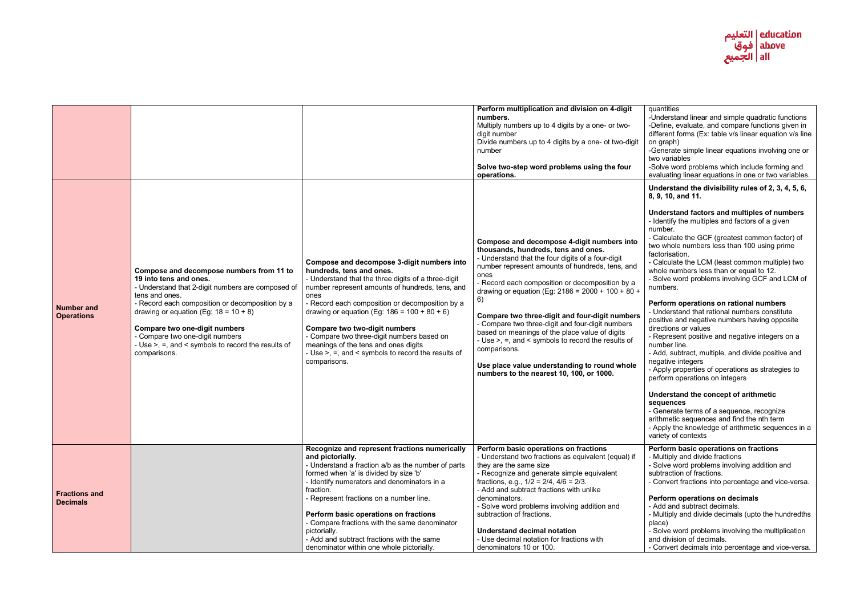-Understand linear and simple quadratic functions -Define, evaluate, and compare functions given in different forms (Ex: table v/s linear equation v/s line on graph)

-Generate simple linear equations involving one or two variables

-Solve word problems which include forming and evaluating linear equations in one or two variables.

- Calculate the LCM (least common multiple) two whole numbers less than or equal to 12.

|                                         |                                                                                                                                                                                                                                                                                                                                                                                              |                                                                                                                                                                                                                                                                                                                                                                                                                                                                                                    | Perform multiplication and division on 4-digit<br>numbers.<br>Multiply numbers up to 4 digits by a one- or two-<br>digit number<br>Divide numbers up to 4 digits by a one- ot two-digit<br>number<br>Solve two-step word problems using the four<br>operations.                                                                                                                                                                                                                                                                                                                                                                           |
|-----------------------------------------|----------------------------------------------------------------------------------------------------------------------------------------------------------------------------------------------------------------------------------------------------------------------------------------------------------------------------------------------------------------------------------------------|----------------------------------------------------------------------------------------------------------------------------------------------------------------------------------------------------------------------------------------------------------------------------------------------------------------------------------------------------------------------------------------------------------------------------------------------------------------------------------------------------|-------------------------------------------------------------------------------------------------------------------------------------------------------------------------------------------------------------------------------------------------------------------------------------------------------------------------------------------------------------------------------------------------------------------------------------------------------------------------------------------------------------------------------------------------------------------------------------------------------------------------------------------|
| <b>Number and</b><br><b>Operations</b>  | Compose and decompose numbers from 11 to<br>19 into tens and ones.<br>- Understand that 2-digit numbers are composed of<br>tens and ones.<br>- Record each composition or decomposition by a<br>drawing or equation (Eg: $18 = 10 + 8$ )<br><b>Compare two one-digit numbers</b><br>- Compare two one-digit numbers<br>- Use $>$ , =, and < symbols to record the results of<br>comparisons. | Compose and decompose 3-digit numbers into<br>hundreds, tens and ones.<br>- Understand that the three digits of a three-digit<br>number represent amounts of hundreds, tens, and<br>ones<br>- Record each composition or decomposition by a<br>drawing or equation (Eg: $186 = 100 + 80 + 6$ )<br><b>Compare two two-digit numbers</b><br>- Compare two three-digit numbers based on<br>meanings of the tens and ones digits<br>- Use >, =, and < symbols to record the results of<br>comparisons. | Compose and decompose 4-digit numbers into<br>thousands, hundreds, tens and ones.<br>- Understand that the four digits of a four-digit<br>number represent amounts of hundreds, tens, and<br>ones<br>- Record each composition or decomposition by a<br>drawing or equation (Eg: 2186 = 2000 + 100 + 80 +<br>6)<br>Compare two three-digit and four-digit numbers<br>- Compare two three-digit and four-digit numbers<br>based on meanings of the place value of digits<br>- Use >, =, and < symbols to record the results of<br>comparisons.<br>Use place value understanding to round whole<br>numbers to the nearest 10, 100, or 1000. |
| <b>Fractions and</b><br><b>Decimals</b> |                                                                                                                                                                                                                                                                                                                                                                                              | Recognize and represent fractions numerically<br>and pictorially.<br>- Understand a fraction a/b as the number of parts<br>formed when 'a' is divided by size 'b'<br>- Identify numerators and denominators in a<br>fraction.<br>- Represent fractions on a number line.<br>Perform basic operations on fractions<br>- Compare fractions with the same denominator<br>pictorially.<br>- Add and subtract fractions with the same<br>denominator within one whole pictorially.                      | Perform basic operations on fractions<br>- Understand two fractions as equivalent (equal) if<br>they are the same size<br>- Recognize and generate simple equivalent<br>fractions, e.g., $1/2 = 2/4$ , $4/6 = 2/3$ .<br>- Add and subtract fractions with unlike<br>denominators.<br>- Solve word problems involving addition and<br>subtraction of fractions.<br><b>Understand decimal notation</b><br>- Use decimal notation for fractions with<br>denominators 10 or 100.                                                                                                                                                              |



### quantities

**Understand the divisibility rules of 2, 3, 4, 5, 6, 8, 9, 10, and 11.**

#### **Understand factors and multiples of numbers** - Identify the multiples and factors of a given number.

- Calculate the GCF (greatest common factor) of two whole numbers less than 100 using prime factorisation.

- Solve word problems involving GCF and LCM of numbers.

# **Perform operations on rational numbers**

- Understand that rational numbers constitute positive and negative numbers having opposite directions or values

- Represent positive and negative integers on a number line.

- Add, subtract, multiple, and divide positive and negative integers

- Apply properties of operations as strategies to perform operations on integers

#### **Understand the concept of arithmetic sequences**

- Generate terms of a sequence, recognize arithmetic sequences and find the nth term - Apply the knowledge of arithmetic sequences in a variety of contexts

# **Perform basic operations on fractions**

- Multiply and divide fractions

- Solve word problems involving addition and subtraction of fractions.

- Convert fractions into percentage and vice-versa.

# **Perform operations on decimals**

- Add and subtract decimals.

- Multiply and divide decimals (upto the hundredths place)

- Solve word problems involving the multiplication and division of decimals.

- Convert decimals into percentage and vice-versa.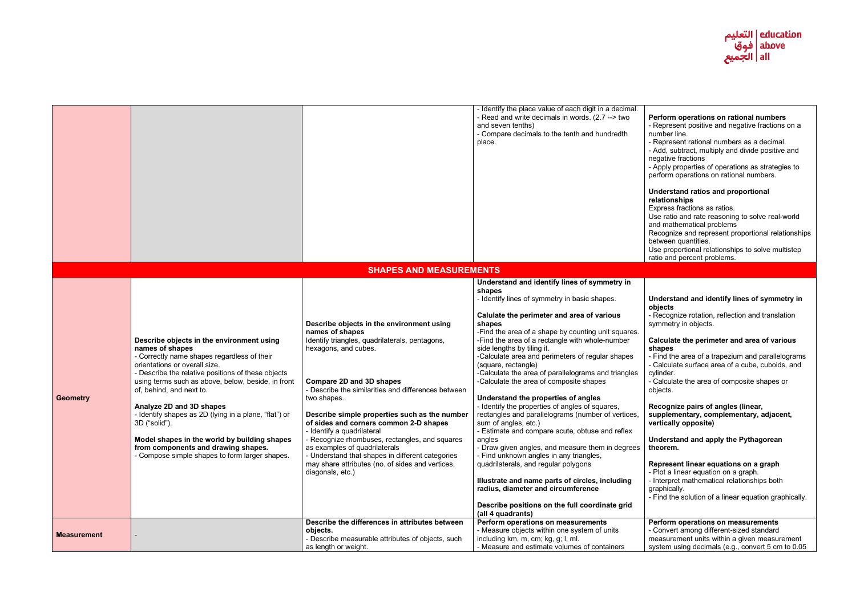#### **Perform operations on rational numbers** - Represent positive and negative fractions on a number line.

- Represent rational numbers as a decimal.

- Add, subtract, multiply and divide positive and negative fractions

- Apply properties of operations as strategies to perform operations on rational numbers.

# **Understand ratios and proportional relationships**

Express fractions as ratios.

Use ratio and rate reasoning to solve real-world and mathematical problems

Recognize and represent proportional relationships between quantities.

Use proportional relationships to solve multistep ratio and percent problems.

|                    |                                                                                                                                                                                                                                                                                                                                                                                                                                                                                                                                     |                                                                                                                                                                                                                                                                                                                                                                                                                                                                                                                                                                                         | - Identify the place value of each digit in a decimal.<br>- Read and write decimals in words. (2.7 --> two<br>and seven tenths)<br>- Compare decimals to the tenth and hundredth<br>place.                                                                                                                                                                                                                                                                                                                                                                                                                                                                                                                                                                                                                                                                                                                                                                                                                  |
|--------------------|-------------------------------------------------------------------------------------------------------------------------------------------------------------------------------------------------------------------------------------------------------------------------------------------------------------------------------------------------------------------------------------------------------------------------------------------------------------------------------------------------------------------------------------|-----------------------------------------------------------------------------------------------------------------------------------------------------------------------------------------------------------------------------------------------------------------------------------------------------------------------------------------------------------------------------------------------------------------------------------------------------------------------------------------------------------------------------------------------------------------------------------------|-------------------------------------------------------------------------------------------------------------------------------------------------------------------------------------------------------------------------------------------------------------------------------------------------------------------------------------------------------------------------------------------------------------------------------------------------------------------------------------------------------------------------------------------------------------------------------------------------------------------------------------------------------------------------------------------------------------------------------------------------------------------------------------------------------------------------------------------------------------------------------------------------------------------------------------------------------------------------------------------------------------|
|                    |                                                                                                                                                                                                                                                                                                                                                                                                                                                                                                                                     | <b>SHAPES AND MEASUREMENTS</b>                                                                                                                                                                                                                                                                                                                                                                                                                                                                                                                                                          |                                                                                                                                                                                                                                                                                                                                                                                                                                                                                                                                                                                                                                                                                                                                                                                                                                                                                                                                                                                                             |
| <b>Geometry</b>    | Describe objects in the environment using<br>names of shapes<br>- Correctly name shapes regardless of their<br>orientations or overall size.<br>- Describe the relative positions of these objects<br>using terms such as above, below, beside, in front<br>of, behind, and next to.<br>Analyze 2D and 3D shapes<br>- Identify shapes as 2D (lying in a plane, "flat") or<br>3D ("solid").<br>Model shapes in the world by building shapes<br>from components and drawing shapes.<br>- Compose simple shapes to form larger shapes. | Describe objects in the environment using<br>names of shapes<br>Identify triangles, quadrilaterals, pentagons,<br>hexagons, and cubes.<br><b>Compare 2D and 3D shapes</b><br>- Describe the similarities and differences between<br>two shapes.<br>Describe simple properties such as the number<br>of sides and corners common 2-D shapes<br>- Identify a quadrilateral<br>- Recognize rhombuses, rectangles, and squares<br>as examples of quadrilaterals<br>- Understand that shapes in different categories<br>may share attributes (no. of sides and vertices,<br>diagonals, etc.) | Understand and identify lines of symmetry in<br>shapes<br>- Identify lines of symmetry in basic shapes.<br>Calulate the perimeter and area of various<br>shapes<br>-Find the area of a shape by counting unit squares.<br>-Find the area of a rectangle with whole-number<br>side lengths by tiling it.<br>-Calculate area and perimeters of regular shapes<br>(square, rectangle)<br>-Calculate the area of parallelograms and triangles<br>-Calculate the area of composite shapes<br>Understand the properties of angles<br>- Identify the properties of angles of squares,<br>rectangles and parallelograms (number of vertices,<br>sum of angles, etc.)<br>- Estimate and compare acute, obtuse and reflex<br>angles<br>- Draw given angles, and measure them in degrees<br>- Find unknown angles in any triangles,<br>quadrilaterals, and regular polygons<br>Illustrate and name parts of circles, including<br>radius, diameter and circumference<br>Describe positions on the full coordinate grid |
| <b>Measurement</b> |                                                                                                                                                                                                                                                                                                                                                                                                                                                                                                                                     | Describe the differences in attributes between<br>objects.<br>- Describe measurable attributes of objects, such<br>as length or weight.                                                                                                                                                                                                                                                                                                                                                                                                                                                 | (all 4 quadrants)<br>Perform operations on measurements<br>- Measure objects within one system of units<br>including km, m, cm; kg, g; l, ml.<br>- Measure and estimate volumes of containers                                                                                                                                                                                                                                                                                                                                                                                                                                                                                                                                                                                                                                                                                                                                                                                                               |



# **Understand and identify lines of symmetry in objects**

- Recognize rotation, reflection and translation symmetry in objects.

# **Calculate the perimeter and area of various shapes**

- Find the area of a trapezium and parallelograms - Calculate surface area of a cube, cuboids, and cylinder.

- Calculate the area of composite shapes or objects.

### **Recognize pairs of angles (linear, supplementary, complementary, adjacent, vertically opposite)**

**Understand and apply the Pythagorean theorem.**

# **Represent linear equations on a graph**

- Plot a linear equation on a graph.

- Interpret mathematical relationships both graphically.

- Find the solution of a linear equation graphically.

# **Perform operations on measurements**

- Convert among different-sized standard measurement units within a given measurement system using decimals (e.g., convert 5 cm to 0.05